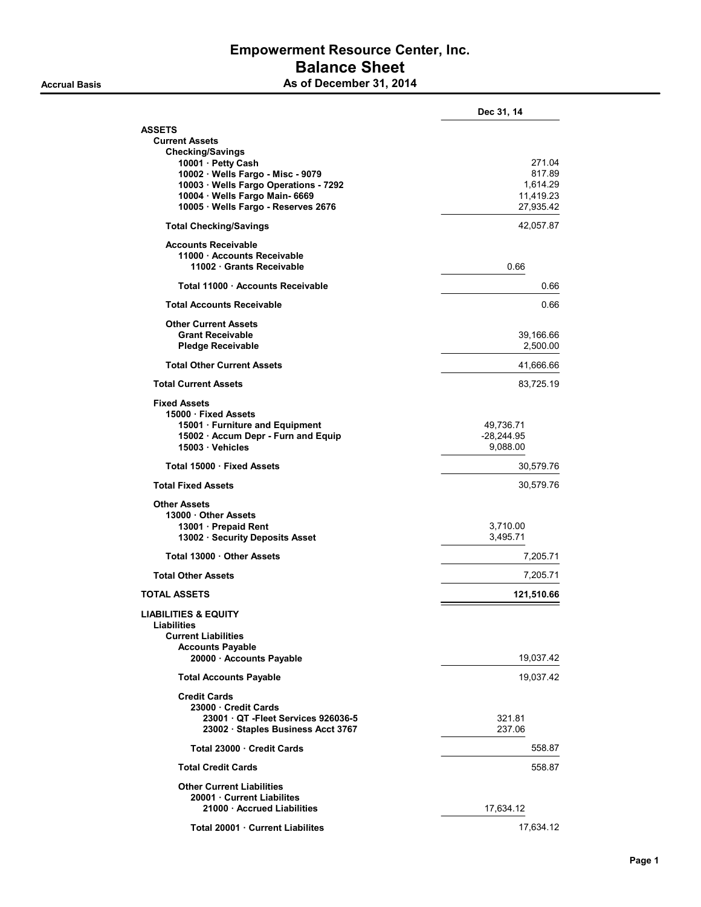### Empowerment Resource Center, Inc. Balance Sheet As of December 31, 2014

|                                                                          | Dec 31, 14                |
|--------------------------------------------------------------------------|---------------------------|
| ASSETS                                                                   |                           |
| <b>Current Assets</b>                                                    |                           |
| <b>Checking/Savings</b><br>10001 · Petty Cash                            | 271.04                    |
| 10002 · Wells Fargo - Misc - 9079                                        | 817.89                    |
| 10003 · Wells Fargo Operations - 7292                                    | 1,614.29                  |
| 10004 · Wells Fargo Main- 6669                                           | 11,419.23                 |
| 10005 · Wells Fargo - Reserves 2676                                      | 27,935.42                 |
| <b>Total Checking/Savings</b>                                            | 42,057.87                 |
| <b>Accounts Receivable</b>                                               |                           |
| 11000 Accounts Receivable<br>11002 · Grants Receivable                   | 0.66                      |
| Total 11000 · Accounts Receivable                                        | 0.66                      |
| <b>Total Accounts Receivable</b>                                         | 0.66                      |
| <b>Other Current Assets</b>                                              |                           |
| <b>Grant Receivable</b>                                                  | 39,166.66                 |
| <b>Pledge Receivable</b>                                                 | 2,500.00                  |
| <b>Total Other Current Assets</b>                                        | 41,666.66                 |
| <b>Total Current Assets</b>                                              | 83,725.19                 |
| <b>Fixed Assets</b>                                                      |                           |
| 15000 · Fixed Assets                                                     |                           |
| 15001 · Furniture and Equipment<br>15002 · Accum Depr - Furn and Equip   | 49,736.71<br>$-28,244.95$ |
| 15003 · Vehicles                                                         | 9,088.00                  |
| Total 15000 · Fixed Assets                                               | 30,579.76                 |
| <b>Total Fixed Assets</b>                                                | 30,579.76                 |
| <b>Other Assets</b>                                                      |                           |
| 13000 Other Assets                                                       |                           |
| 13001 · Prepaid Rent<br>13002 · Security Deposits Asset                  | 3,710.00<br>3,495.71      |
| Total 13000 . Other Assets                                               |                           |
|                                                                          | 7,205.71                  |
| <b>Total Other Assets</b>                                                | 7,205.71                  |
| TOTAL ASSETS                                                             | 121,510.66                |
| LIABILITIES & EQUITY<br><b>Liabilities</b>                               |                           |
| <b>Current Liabilities</b>                                               |                           |
| <b>Accounts Payable</b>                                                  |                           |
| 20000 · Accounts Payable                                                 | 19,037.42                 |
| <b>Total Accounts Payable</b>                                            | 19,037.42                 |
| <b>Credit Cards</b>                                                      |                           |
| 23000 Credit Cards                                                       |                           |
| 23001 OT - Fleet Services 926036-5<br>23002 · Staples Business Acct 3767 | 321.81<br>237.06          |
| Total 23000 · Credit Cards                                               | 558.87                    |
|                                                                          | 558.87                    |
| <b>Total Credit Cards</b>                                                |                           |
| <b>Other Current Liabilities</b>                                         |                           |

21000 · Accrued Liabilities 17,634.12 Total 20001 · Current Liabilites 17,634.12

20001 · Current Liabilites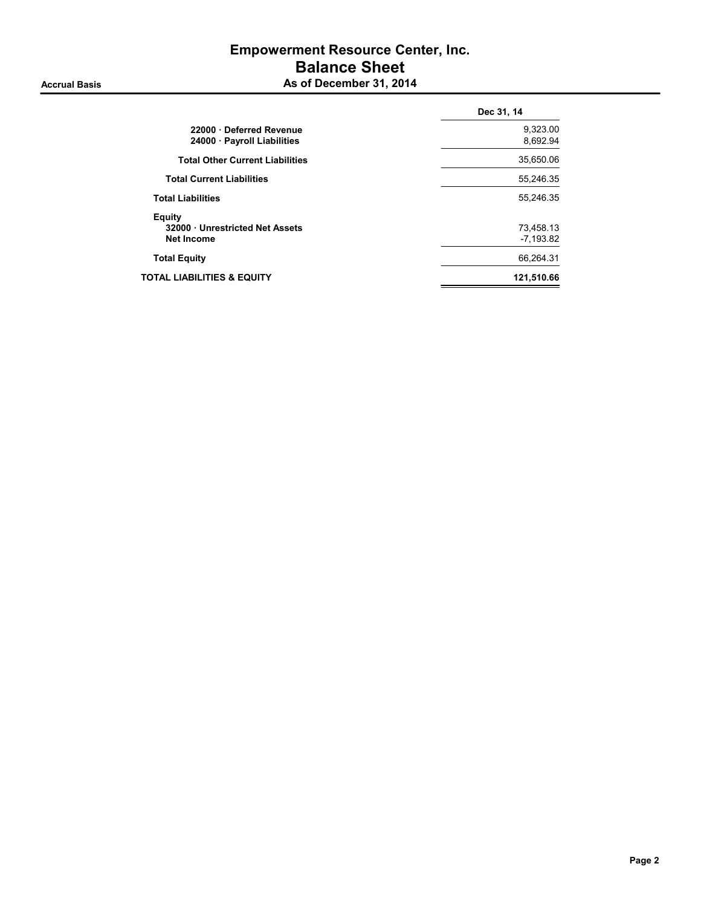# Empowerment Resource Center, Inc. Balance Sheet Accrual Basis Accrual Basis As of December 31, 2014

| 22000 Deferred Revenue<br>24000 Payroll Liabilities<br><b>Total Other Current Liabilities</b><br><b>Total Current Liabilities</b><br><b>Total Liabilities</b><br>Equity<br>32000 Unrestricted Net Assets<br><b>Net Income</b><br><b>Total Equity</b><br>TOTAL LIABILITIES & EQUITY | Dec 31, 14               |
|------------------------------------------------------------------------------------------------------------------------------------------------------------------------------------------------------------------------------------------------------------------------------------|--------------------------|
|                                                                                                                                                                                                                                                                                    | 9,323.00<br>8,692.94     |
|                                                                                                                                                                                                                                                                                    | 35,650.06                |
|                                                                                                                                                                                                                                                                                    | 55,246.35                |
|                                                                                                                                                                                                                                                                                    | 55,246.35                |
|                                                                                                                                                                                                                                                                                    | 73,458.13<br>$-7,193.82$ |
|                                                                                                                                                                                                                                                                                    | 66,264.31                |
|                                                                                                                                                                                                                                                                                    | 121,510.66               |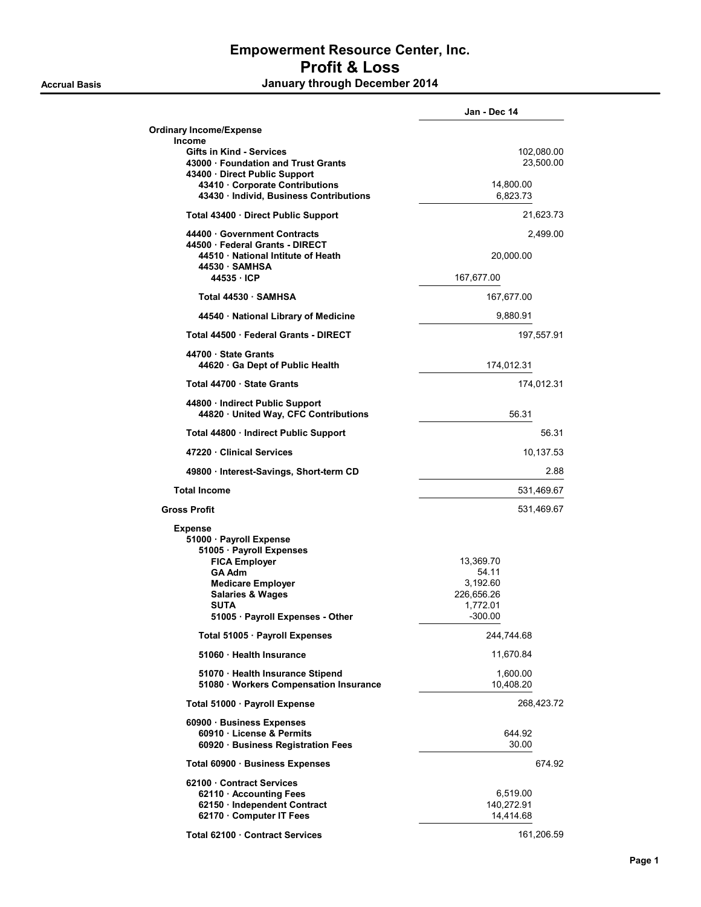# Empowerment Resource Center, Inc. Profit & Loss Accrual Basis **Accrual Basis January through December 2014**

|                                                                                                                                                                                                                              | Jan - Dec 14                                                          |
|------------------------------------------------------------------------------------------------------------------------------------------------------------------------------------------------------------------------------|-----------------------------------------------------------------------|
| <b>Ordinary Income/Expense</b>                                                                                                                                                                                               |                                                                       |
| <b>Income</b><br><b>Gifts in Kind - Services</b><br>43000 Foundation and Trust Grants<br>43400 · Direct Public Support                                                                                                       | 102,080.00<br>23,500.00                                               |
| 43410 Corporate Contributions<br>43430 · Individ, Business Contributions                                                                                                                                                     | 14,800.00<br>6,823.73                                                 |
| Total 43400 · Direct Public Support                                                                                                                                                                                          | 21,623.73                                                             |
| 44400 Government Contracts<br>44500 Federal Grants - DIRECT<br>44510 National Intitute of Heath<br>44530 SAMHSA                                                                                                              | 2,499.00<br>20,000.00                                                 |
| 44535 ICP                                                                                                                                                                                                                    | 167,677.00                                                            |
| Total 44530 · SAMHSA                                                                                                                                                                                                         | 167,677.00                                                            |
| 44540 · National Library of Medicine                                                                                                                                                                                         | 9,880.91                                                              |
| Total 44500 · Federal Grants - DIRECT                                                                                                                                                                                        | 197,557.91                                                            |
| 44700 State Grants<br>44620 Ga Dept of Public Health                                                                                                                                                                         | 174,012.31                                                            |
| Total 44700 · State Grants                                                                                                                                                                                                   | 174,012.31                                                            |
| 44800 Indirect Public Support<br>44820 · United Way, CFC Contributions                                                                                                                                                       | 56.31                                                                 |
| Total 44800 Indirect Public Support                                                                                                                                                                                          | 56.31                                                                 |
| 47220 Clinical Services                                                                                                                                                                                                      | 10,137.53                                                             |
| 49800 · Interest-Savings, Short-term CD                                                                                                                                                                                      | 2.88                                                                  |
| <b>Total Income</b>                                                                                                                                                                                                          | 531,469.67                                                            |
| <b>Gross Profit</b>                                                                                                                                                                                                          | 531,469.67                                                            |
| <b>Expense</b><br>51000 · Payroll Expense<br>51005 · Payroll Expenses<br><b>FICA Employer</b><br><b>GA Adm</b><br><b>Medicare Employer</b><br><b>Salaries &amp; Wages</b><br><b>SUTA</b><br>51005 · Payroll Expenses - Other | 13,369.70<br>54.11<br>3,192.60<br>226,656.26<br>1,772.01<br>$-300.00$ |
| Total 51005 · Payroll Expenses                                                                                                                                                                                               | 244,744.68                                                            |
| 51060 Health Insurance                                                                                                                                                                                                       | 11,670.84                                                             |
| 51070 · Health Insurance Stipend<br>51080 · Workers Compensation Insurance                                                                                                                                                   | 1,600.00<br>10,408.20                                                 |
| Total 51000 · Payroll Expense                                                                                                                                                                                                | 268,423.72                                                            |
| 60900 Business Expenses<br>60910 License & Permits<br>60920 · Business Registration Fees                                                                                                                                     | 644.92<br>30.00                                                       |
| Total 60900 · Business Expenses                                                                                                                                                                                              | 674.92                                                                |
| 62100 Contract Services<br>62110 Accounting Fees<br>62150 · Independent Contract<br>62170 Computer IT Fees                                                                                                                   | 6,519.00<br>140,272.91<br>14,414.68                                   |
| Total 62100 Contract Services                                                                                                                                                                                                | 161,206.59                                                            |

### Page 1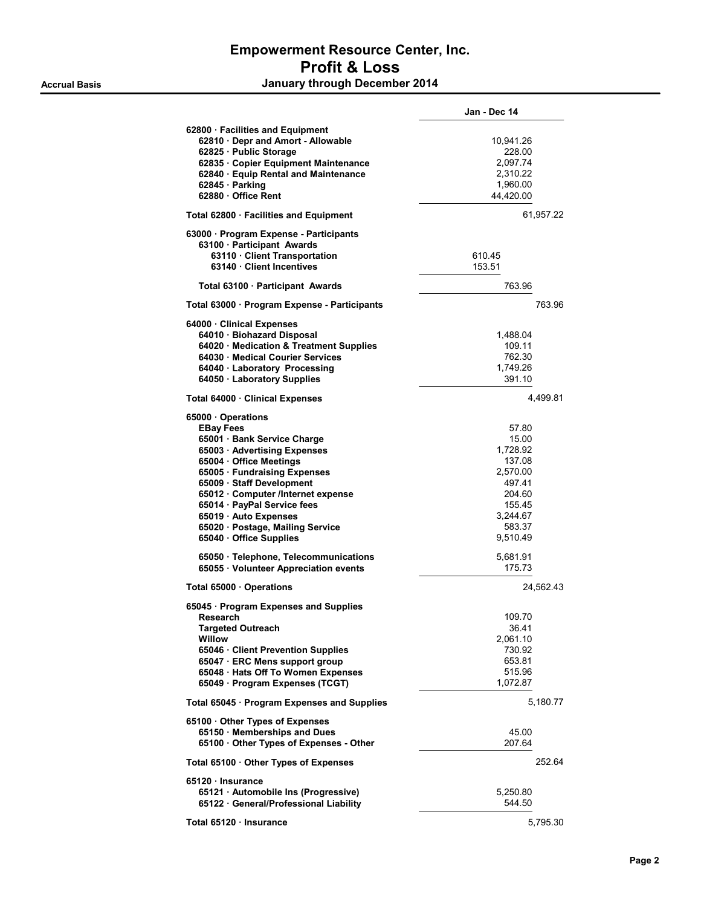# Empowerment Resource Center, Inc. Profit & Loss

Accrual Basis **Accrual Basis January through December 2014** 

|                                                                       | Jan - Dec 14       |  |
|-----------------------------------------------------------------------|--------------------|--|
| 62800 · Facilities and Equipment                                      |                    |  |
| 62810 · Depr and Amort - Allowable                                    | 10,941.26          |  |
| 62825 · Public Storage                                                | 228.00             |  |
| 62835 · Copier Equipment Maintenance                                  | 2,097.74           |  |
| 62840 · Equip Rental and Maintenance                                  | 2,310.22           |  |
|                                                                       |                    |  |
| 62845 · Parking                                                       | 1,960.00           |  |
| 62880 Office Rent                                                     | 44,420.00          |  |
| Total 62800 · Facilities and Equipment                                | 61,957.22          |  |
| 63000 · Program Expense - Participants                                |                    |  |
| 63100 Participant Awards                                              |                    |  |
| 63110 · Client Transportation                                         | 610.45             |  |
| 63140 Client Incentives                                               | 153.51             |  |
| Total 63100 · Participant Awards                                      | 763.96             |  |
| Total 63000 · Program Expense - Participants                          | 763.96             |  |
|                                                                       |                    |  |
| 64000 Clinical Expenses<br>64010 · Biohazard Disposal                 |                    |  |
|                                                                       | 1,488.04           |  |
| 64020 Medication & Treatment Supplies                                 | 109.11             |  |
| 64030 Medical Courier Services                                        | 762.30             |  |
| 64040 · Laboratory Processing                                         | 1,749.26           |  |
| 64050 · Laboratory Supplies                                           | 391.10             |  |
| Total 64000 · Clinical Expenses                                       | 4,499.81           |  |
| 65000 · Operations                                                    |                    |  |
| <b>EBay Fees</b>                                                      | 57.80              |  |
| 65001 Bank Service Charge                                             | 15.00              |  |
| 65003 · Advertising Expenses                                          | 1,728.92           |  |
|                                                                       |                    |  |
| 65004 · Office Meetings                                               | 137.08             |  |
| 65005 · Fundraising Expenses                                          | 2,570.00           |  |
| 65009 · Staff Development                                             | 497.41             |  |
| 65012 · Computer /Internet expense                                    | 204.60             |  |
| 65014 · PayPal Service fees                                           | 155.45             |  |
| 65019 · Auto Expenses                                                 | 3,244.67           |  |
| 65020 · Postage, Mailing Service                                      | 583.37             |  |
| 65040 · Office Supplies                                               | 9,510.49           |  |
| 65050 · Telephone, Telecommunications                                 | 5,681.91           |  |
| 65055 · Volunteer Appreciation events                                 | 175.73             |  |
| Total 65000 Operations                                                | 24,562.43          |  |
| 65045 · Program Expenses and Supplies                                 |                    |  |
| Research                                                              | 109.70             |  |
| <b>Targeted Outreach</b>                                              | 36.41              |  |
| Willow                                                                | 2,061.10           |  |
| 65046 · Client Prevention Supplies                                    | 730.92             |  |
|                                                                       |                    |  |
| 65047 · ERC Mens support group                                        | 653.81             |  |
| 65048 · Hats Off To Women Expenses<br>65049 · Program Expenses (TCGT) | 515.96<br>1,072.87 |  |
|                                                                       |                    |  |
| Total 65045 · Program Expenses and Supplies                           | 5,180.77           |  |
| 65100 Other Types of Expenses                                         |                    |  |
| 65150 · Memberships and Dues                                          | 45.00              |  |
| 65100 · Other Types of Expenses - Other                               | 207.64             |  |
| Total 65100 Other Types of Expenses                                   | 252.64             |  |
|                                                                       |                    |  |
| 65120 · Insurance                                                     |                    |  |
| 65121 · Automobile Ins (Progressive)                                  | 5,250.80           |  |
| 65122 · General/Professional Liability                                | 544.50             |  |
| Total 65120 · Insurance                                               | 5,795.30           |  |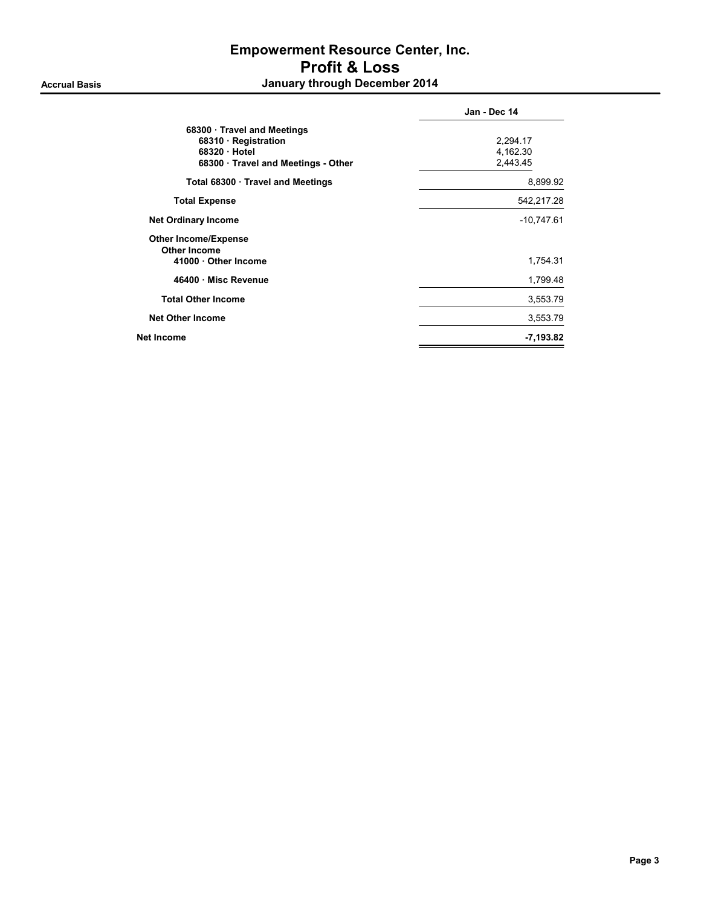# Empowerment Resource Center, Inc. Profit & Loss Accrual Basis **Accrual Basis January through December 2014**

|                                   | Jan - Dec 14 |
|-----------------------------------|--------------|
| 68300 · Travel and Meetings       |              |
| 68310 Registration                | 2,294.17     |
| 68320 Hotel                       | 4,162.30     |
| 68300 Travel and Meetings - Other | 2.443.45     |
| Total 68300 · Travel and Meetings | 8,899.92     |
| <b>Total Expense</b>              | 542,217.28   |
| <b>Net Ordinary Income</b>        | $-10,747.61$ |
| <b>Other Income/Expense</b>       |              |
| <b>Other Income</b>               |              |
| 41000 Other Income                | 1,754.31     |
| 46400 · Misc Revenue              | 1,799.48     |
| <b>Total Other Income</b>         | 3,553.79     |
| <b>Net Other Income</b>           | 3,553.79     |
| <b>Net Income</b>                 | $-7,193.82$  |
|                                   |              |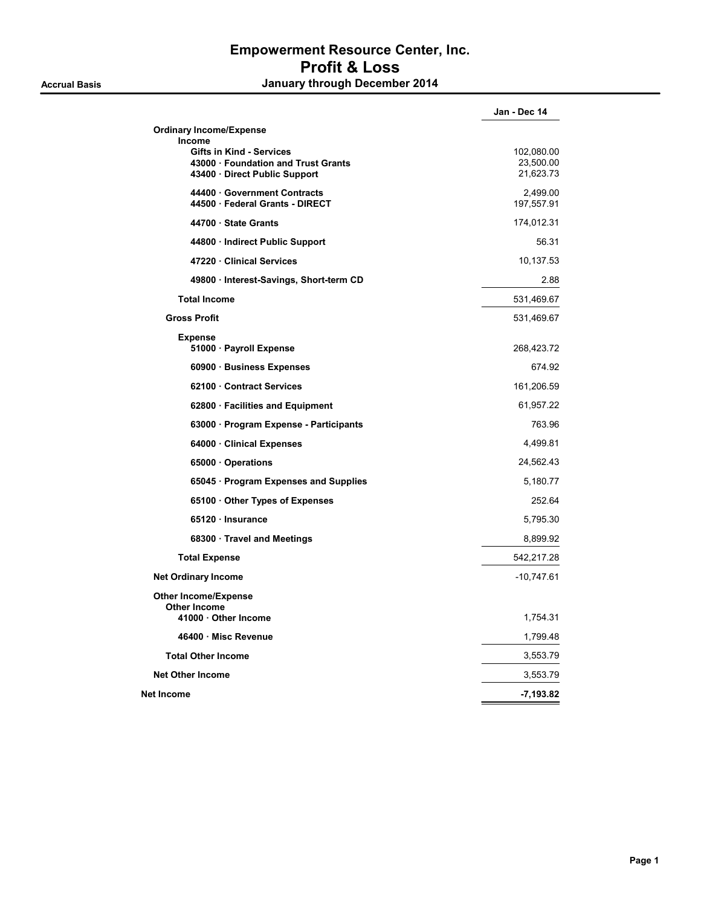# Empowerment Resource Center, Inc. Profit & Loss Accrual Basis **Accrual Basis January through December 2014**

|                                                                                                                   | Jan - Dec 14                         |
|-------------------------------------------------------------------------------------------------------------------|--------------------------------------|
| <b>Ordinary Income/Expense</b>                                                                                    |                                      |
| Income<br><b>Gifts in Kind - Services</b><br>43000 · Foundation and Trust Grants<br>43400 · Direct Public Support | 102,080.00<br>23,500.00<br>21,623.73 |
| 44400 Government Contracts<br>44500 · Federal Grants - DIRECT                                                     | 2.499.00<br>197,557.91               |
| 44700 · State Grants                                                                                              | 174,012.31                           |
| 44800 · Indirect Public Support                                                                                   | 56.31                                |
| 47220 Clinical Services                                                                                           | 10,137.53                            |
| 49800 · Interest-Savings, Short-term CD                                                                           | 2.88                                 |
| <b>Total Income</b>                                                                                               | 531,469.67                           |
| <b>Gross Profit</b>                                                                                               | 531,469.67                           |
| <b>Expense</b><br>51000 · Payroll Expense                                                                         | 268,423.72                           |
| 60900 · Business Expenses                                                                                         | 674.92                               |
| 62100 Contract Services                                                                                           | 161,206.59                           |
| 62800 · Facilities and Equipment                                                                                  | 61,957.22                            |
| 63000 · Program Expense - Participants                                                                            | 763.96                               |
| 64000 Clinical Expenses                                                                                           | 4,499.81                             |
| 65000 Operations                                                                                                  | 24,562.43                            |
| 65045 · Program Expenses and Supplies                                                                             | 5,180.77                             |
| 65100 Other Types of Expenses                                                                                     | 252.64                               |
| 65120 Insurance                                                                                                   | 5,795.30                             |
| 68300 · Travel and Meetings                                                                                       | 8,899.92                             |
| <b>Total Expense</b>                                                                                              | 542,217.28                           |
| <b>Net Ordinary Income</b>                                                                                        | $-10,747.61$                         |
| <b>Other Income/Expense</b>                                                                                       |                                      |
| <b>Other Income</b><br>41000 Other Income                                                                         | 1,754.31                             |
| 46400 Misc Revenue                                                                                                | 1,799.48                             |
| <b>Total Other Income</b>                                                                                         | 3,553.79                             |
| <b>Net Other Income</b>                                                                                           | 3,553.79                             |
| Net Income                                                                                                        | -7,193.82                            |
|                                                                                                                   |                                      |